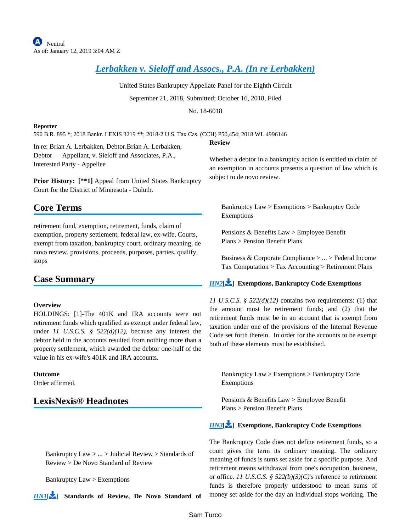# *[Lerbakken v. Sieloff and Assocs., P.A. \(In re Lerbakken\)](https://advance.lexis.com/api/document?collection=cases&id=urn:contentItem:5TH2-F2X1-F7ND-G0VP-00000-00&context=)*

United States Bankruptcy Appellate Panel for the Eighth Circuit September 21, 2018, Submitted; October 16, 2018, Filed

No. 18-6018

**Review**

#### **Reporter**

590 B.R. 895 \*; 2018 Bankr. LEXIS 3219 \*\*; 2018-2 U.S. Tax Cas. (CCH) P50,454; 2018 WL 4996146

In re: Brian A. Lerbakken, Debtor.Brian A. Lerbakken, Debtor — Appellant, v. Sieloff and Associates, P.A., Interested Party - Appellee

Prior History: [\*\*1] Appeal from United States Bankruptcy Court for the District of Minnesota - Duluth.

# **Core Terms**

retirement fund, exemption, retirement, funds, claim of exemption, property settlement, federal law, ex-wife, Courts, exempt from taxation, bankruptcy court, ordinary meaning, de novo review, provisions, proceeds, purposes, parties, qualify, stops

# **Case Summary**

## **Overview**

HOLDINGS: [1]-The 401K and IRA accounts were not retirement funds which qualified as exempt under federal law, under *11 U.S.C.S. § 522(d)(12)*, because any interest the debtor held in the accounts resulted from nothing more than a property settlement, which awarded the debtor one-half of the value in his ex-wife's 401K and IRA accounts.

## **Outcome**

Order affirmed.

# **LexisNexis® Headnotes**

<span id="page-0-0"></span>Bankruptcy Law > ... > Judicial Review > Standards of Review > De Novo Standard of Review

Bankruptcy Law > Exemptions

*[HN1](https://advance.lexis.com/api/document?collection=cases&id=urn:contentItem:5TH2-F2X1-F7ND-G0VP-00000-00&context=&link=LNHNREFclscc1)*[\[](#page-1-0) ] **Standards of Review, De Novo Standard of** 

<span id="page-0-1"></span>Whether a debtor in a bankruptcy action is entitled to claim of an exemption in accounts presents a question of law which is subject to de novo review.

Bankruptcy Law > Exemptions > Bankruptcy Code Exemptions

Pensions & Benefits Law > Employee Benefit Plans > Pension Benefit Plans

Business & Corporate Compliance > ... > Federal Income Tax Computation > Tax Accounting > Retirement Plans

# *[HN2](https://advance.lexis.com/api/document?collection=cases&id=urn:contentItem:5TH2-F2X1-F7ND-G0VP-00000-00&context=&link=LNHNREFclscc2)*[\[](#page-1-1) ] **Exemptions, Bankruptcy Code Exemptions**

*11 U.S.C.S. § 522(d)(12)* contains two requirements: (1) that the amount must be retirement funds; and (2) that the retirement funds must be in an account that is exempt from taxation under one of the provisions of the Internal Revenue Code set forth therein. In order for the accounts to be exempt both of these elements must be established.

<span id="page-0-2"></span>Bankruptcy Law > Exemptions > Bankruptcy Code Exemptions

Pensions & Benefits Law > Employee Benefit Plans > Pension Benefit Plans

# *[HN3](https://advance.lexis.com/api/document?collection=cases&id=urn:contentItem:5TH2-F2X1-F7ND-G0VP-00000-00&context=&link=LNHNREFclscc3)*[\[](#page-2-0) ] **Exemptions, Bankruptcy Code Exemptions**

The Bankruptcy Code does not define retirement funds, so a court gives the term its ordinary meaning. The ordinary meaning of funds is sums set aside for a specific purpose. And retirement means withdrawal from one's occupation, business, or office. *11 U.S.C.S. § 522(b)(3)(C)*'s reference to retirement funds is therefore properly understood to mean sums of money set aside for the day an individual stops working. The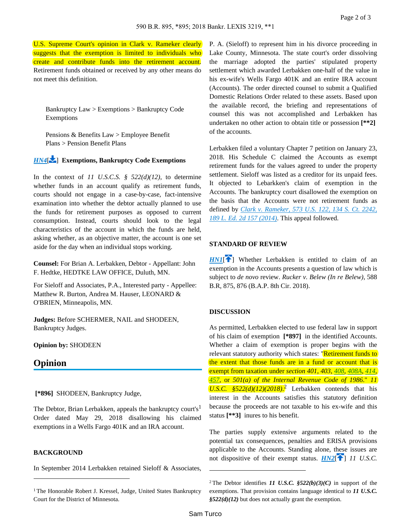U.S. Supreme Court's opinion in Clark v. Rameker clearly suggests that the exemption is limited to individuals who create and contribute funds into the retirement account. Retirement funds obtained or received by any other means do not meet this definition.

<span id="page-1-2"></span>Bankruptcy Law > Exemptions > Bankruptcy Code Exemptions

Pensions & Benefits Law > Employee Benefit Plans > Pension Benefit Plans

# *[HN4](https://advance.lexis.com/api/document?collection=cases&id=urn:contentItem:5TH2-F2X1-F7ND-G0VP-00000-00&context=&link=LNHNREFclscc4)*[\[](#page-2-1) ] **Exemptions, Bankruptcy Code Exemptions**

In the context of *11 U.S.C.S. § 522(d)(12)*, to determine whether funds in an account qualify as retirement funds, courts should not engage in a case-by-case, fact-intensive examination into whether the debtor actually planned to use the funds for retirement purposes as opposed to current consumption. Instead, courts should look to the legal characteristics of the account in which the funds are held, asking whether, as an objective matter, the account is one set aside for the day when an individual stops working.

**Counsel:** For Brian A. Lerbakken, Debtor - Appellant: John F. Hedtke, HEDTKE LAW OFFICE, Duluth, MN.

For Sieloff and Associates, P.A., Interested party - Appellee: Matthew R. Burton, Andrea M. Hauser, LEONARD & O'BRIEN, Minneapolis, MN.

**Judges:** Before SCHERMER, NAIL and SHODEEN, Bankruptcy Judges.

## **Opinion by:** SHODEEN

# **Opinion**

 **[\*896]** SHODEEN, Bankruptcy Judge,

The Debtor, Brian Lerbakken, appeals the bankruptcy court's<sup>1</sup> Order dated May 29, 2018 disallowing his claimed exemptions in a Wells Fargo 401K and an IRA account.

## **BACKGROUND**

In September 2014 Lerbakken retained Sieloff & Associates,

P. A. (Sieloff) to represent him in his divorce proceeding in Lake County, Minnesota. The state court's order dissolving the marriage adopted the parties' stipulated property settlement which awarded Lerbakken one-half of the value in his ex-wife's Wells Fargo 401K and an entire IRA account (Accounts). The order directed counsel to submit a Qualified Domestic Relations Order related to these assets. Based upon the available record, the briefing and representations of counsel this was not accomplished and Lerbakken has undertaken no other action to obtain title or possession **[\*\*2]**  of the accounts.

Lerbakken filed a voluntary Chapter 7 petition on January 23, 2018. His Schedule C claimed the Accounts as exempt retirement funds for the values agreed to under the property settlement. Sieloff was listed as a creditor for its unpaid fees. It objected to Lebarkken's claim of exemption in the Accounts. The bankruptcy court disallowed the exemption on the basis that the Accounts were not retirement funds as defined by *[Clark v. Rameker, 573 U.S. 122, 134 S. Ct. 2242,](https://advance.lexis.com/api/document?collection=cases&id=urn:contentItem:5CDM-K4R1-F04K-F004-00000-00&context=)  [189 L. Ed. 2d 157 \(2014\)](https://advance.lexis.com/api/document?collection=cases&id=urn:contentItem:5CDM-K4R1-F04K-F004-00000-00&context=)*. This appeal followed.

## **STANDARD OF REVIEW**

<span id="page-1-0"></span> $HNI$ <sup> $\uparrow$ </sup>] Whether Lerbakken is entitled to claim of an exemption in the Accounts presents a question of law which is subject to *de novo* review. *Rucker v. Belew (In re Belew)*, 588 B.R, 875, 876 (B.A.P. 8th Cir. 2018).

## **DISCUSSION**

As permitted, Lerbakken elected to use federal law in support of his claim of exemption **[\*897]** in the identified Accounts. Whether a claim of exemption is proper begins with the relevant statutory authority which states: "Retirement funds to the extent that those funds are in a fund or account that is exempt from taxation under *section 401*, *403*, *[408](https://advance.lexis.com/api/document?collection=statutes-legislation&id=urn:contentItem:4YF7-GVW1-NRF4-40DJ-00000-00&context=)*, *[408A](https://advance.lexis.com/api/document?collection=statutes-legislation&id=urn:contentItem:4YF7-GR81-NRF4-4133-00000-00&context=)*, *[414](https://advance.lexis.com/api/document?collection=statutes-legislation&id=urn:contentItem:4YF7-GHV1-NRF4-44VW-00000-00&context=)*, *[457](https://advance.lexis.com/api/document?collection=statutes-legislation&id=urn:contentItem:4YF7-GSG1-NRF4-42MT-00000-00&context=)*, or *501(a) of the Internal Revenue Code of 1986*." *11*  U.S.C.  $\frac{\$522(d)(12)(2018)^2}{2}$  Lerbakken contends that his interest in the Accounts satisfies this statutory definition because the proceeds are not taxable to his ex-wife and this status **[\*\*3]** inures to his benefit.

<span id="page-1-1"></span>The parties supply extensive arguments related to the potential tax consequences, penalties and ERISA provisions applicable to the Accounts. Standing alone, these issues are not dispositive of their exempt status. **[HN2](https://advance.lexis.com/api/document?collection=cases&id=urn:contentItem:5TH2-F2X1-F7ND-G0VP-00000-00&context=&link=clscc2)**<sup>[4[\]](#page-0-1)</sup> 11 U.S.C.

<sup>&</sup>lt;sup>1</sup> The Honorable Robert J. Kressel, Judge, United States Bankruptcy Court for the District of Minnesota.

<sup>&</sup>lt;sup>2</sup>The Debtor identifies *11 U.S.C.*  $$522(b)(3)(C)$  in support of the exemptions. That provision contains language identical to *11 U.S.C. §522(d)(12)* but does not actually grant the exemption.